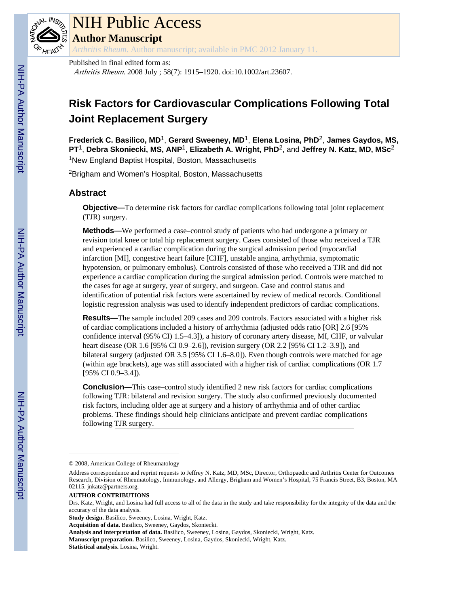

# NIH Public Access

**Author Manuscript**

*Arthritis Rheum*. Author manuscript; available in PMC 2012 January 11.

# Published in final edited form as:

Arthritis Rheum. 2008 July ; 58(7): 1915–1920. doi:10.1002/art.23607.

# **Risk Factors for Cardiovascular Complications Following Total Joint Replacement Surgery**

**Frederick C. Basilico, MD**1, **Gerard Sweeney, MD**1, **Elena Losina, PhD**2, **James Gaydos, MS, PT**1, **Debra Skoniecki, MS, ANP**1, **Elizabeth A. Wright, PhD**2, and **Jeffrey N. Katz, MD, MSc**<sup>2</sup> <sup>1</sup>New England Baptist Hospital, Boston, Massachusetts

<sup>2</sup>Brigham and Women's Hospital, Boston, Massachusetts

# **Abstract**

**Objective—**To determine risk factors for cardiac complications following total joint replacement (TJR) surgery.

**Methods—**We performed a case–control study of patients who had undergone a primary or revision total knee or total hip replacement surgery. Cases consisted of those who received a TJR and experienced a cardiac complication during the surgical admission period (myocardial infarction [MI], congestive heart failure [CHF], unstable angina, arrhythmia, symptomatic hypotension, or pulmonary embolus). Controls consisted of those who received a TJR and did not experience a cardiac complication during the surgical admission period. Controls were matched to the cases for age at surgery, year of surgery, and surgeon. Case and control status and identification of potential risk factors were ascertained by review of medical records. Conditional logistic regression analysis was used to identify independent predictors of cardiac complications.

**Results—**The sample included 209 cases and 209 controls. Factors associated with a higher risk of cardiac complications included a history of arrhythmia (adjusted odds ratio [OR] 2.6 [95% confidence interval (95% CI) 1.5–4.3]), a history of coronary artery disease, MI, CHF, or valvular heart disease (OR 1.6 [95% CI 0.9–2.6]), revision surgery (OR 2.2 [95% CI 1.2–3.9]), and bilateral surgery (adjusted OR 3.5 [95% CI 1.6–8.0]). Even though controls were matched for age (within age brackets), age was still associated with a higher risk of cardiac complications (OR 1.7 [95% CI 0.9–3.4]).

**Conclusion—**This case–control study identified 2 new risk factors for cardiac complications following TJR: bilateral and revision surgery. The study also confirmed previously documented risk factors, including older age at surgery and a history of arrhythmia and of other cardiac problems. These findings should help clinicians anticipate and prevent cardiac complications following TJR surgery.

**AUTHOR CONTRIBUTIONS**

**Analysis and interpretation of data.** Basilico, Sweeney, Losina, Gaydos, Skoniecki, Wright, Katz.

<sup>© 2008,</sup> American College of Rheumatology

Address correspondence and reprint requests to Jeffrey N. Katz, MD, MSc, Director, Orthopaedic and Arthritis Center for Outcomes Research, Division of Rheumatology, Immunology, and Allergy, Brigham and Women's Hospital, 75 Francis Street, B3, Boston, MA 02115. jnkatz@partners.org.

Drs. Katz, Wright, and Losina had full access to all of the data in the study and take responsibility for the integrity of the data and the accuracy of the data analysis.

**Study design.** Basilico, Sweeney, Losina, Wright, Katz.

**Acquisition of data.** Basilico, Sweeney, Gaydos, Skoniecki.

**Manuscript preparation.** Basilico, Sweeney, Losina, Gaydos, Skoniecki, Wright, Katz.

**Statistical analysis.** Losina, Wright.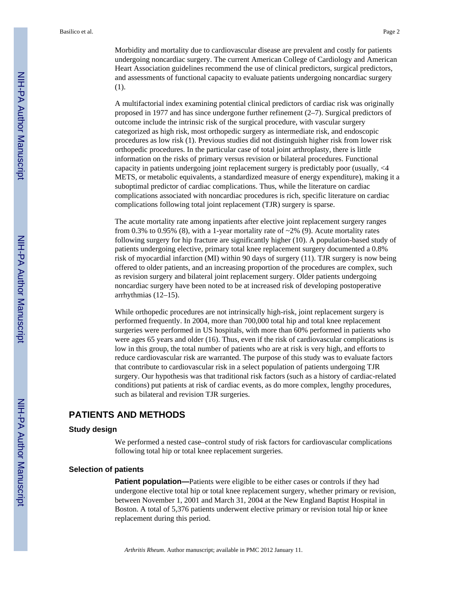Morbidity and mortality due to cardiovascular disease are prevalent and costly for patients undergoing noncardiac surgery. The current American College of Cardiology and American Heart Association guidelines recommend the use of clinical predictors, surgical predictors, and assessments of functional capacity to evaluate patients undergoing noncardiac surgery (1).

A multifactorial index examining potential clinical predictors of cardiac risk was originally proposed in 1977 and has since undergone further refinement (2–7). Surgical predictors of outcome include the intrinsic risk of the surgical procedure, with vascular surgery categorized as high risk, most orthopedic surgery as intermediate risk, and endoscopic procedures as low risk (1). Previous studies did not distinguish higher risk from lower risk orthopedic procedures. In the particular case of total joint arthroplasty, there is little information on the risks of primary versus revision or bilateral procedures. Functional capacity in patients undergoing joint replacement surgery is predictably poor (usually, <4 METS, or metabolic equivalents, a standardized measure of energy expenditure), making it a suboptimal predictor of cardiac complications. Thus, while the literature on cardiac complications associated with noncardiac procedures is rich, specific literature on cardiac complications following total joint replacement (TJR) surgery is sparse.

The acute mortality rate among inpatients after elective joint replacement surgery ranges from 0.3% to 0.95% (8), with a 1-year mortality rate of  $\sim$ 2% (9). Acute mortality rates following surgery for hip fracture are significantly higher (10). A population-based study of patients undergoing elective, primary total knee replacement surgery documented a 0.8% risk of myocardial infarction (MI) within 90 days of surgery (11). TJR surgery is now being offered to older patients, and an increasing proportion of the procedures are complex, such as revision surgery and bilateral joint replacement surgery. Older patients undergoing noncardiac surgery have been noted to be at increased risk of developing postoperative arrhythmias (12–15).

While orthopedic procedures are not intrinsically high-risk, joint replacement surgery is performed frequently. In 2004, more than 700,000 total hip and total knee replacement surgeries were performed in US hospitals, with more than 60% performed in patients who were ages 65 years and older (16). Thus, even if the risk of cardiovascular complications is low in this group, the total number of patients who are at risk is very high, and efforts to reduce cardiovascular risk are warranted. The purpose of this study was to evaluate factors that contribute to cardiovascular risk in a select population of patients undergoing TJR surgery. Our hypothesis was that traditional risk factors (such as a history of cardiac-related conditions) put patients at risk of cardiac events, as do more complex, lengthy procedures, such as bilateral and revision TJR surgeries.

## **PATIENTS AND METHODS**

#### **Study design**

We performed a nested case–control study of risk factors for cardiovascular complications following total hip or total knee replacement surgeries.

#### **Selection of patients**

**Patient population—**Patients were eligible to be either cases or controls if they had undergone elective total hip or total knee replacement surgery, whether primary or revision, between November 1, 2001 and March 31, 2004 at the New England Baptist Hospital in Boston. A total of 5,376 patients underwent elective primary or revision total hip or knee replacement during this period.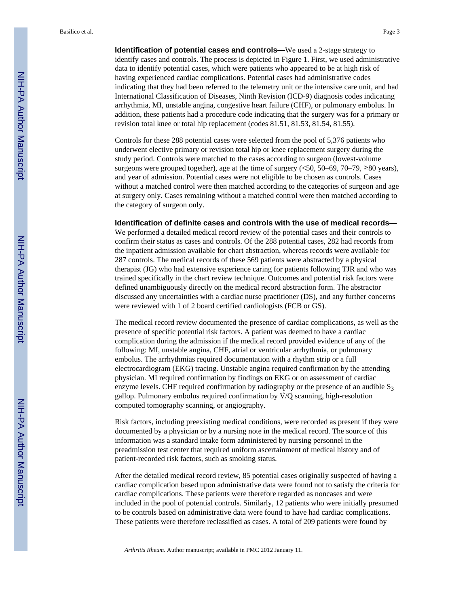**Identification of potential cases and controls—We used a 2-stage strategy to** identify cases and controls. The process is depicted in Figure 1. First, we used administrative data to identify potential cases, which were patients who appeared to be at high risk of having experienced cardiac complications. Potential cases had administrative codes indicating that they had been referred to the telemetry unit or the intensive care unit, and had International Classification of Diseases, Ninth Revision (ICD-9) diagnosis codes indicating arrhythmia, MI, unstable angina, congestive heart failure (CHF), or pulmonary embolus. In addition, these patients had a procedure code indicating that the surgery was for a primary or revision total knee or total hip replacement (codes 81.51, 81.53, 81.54, 81.55).

Controls for these 288 potential cases were selected from the pool of 5,376 patients who underwent elective primary or revision total hip or knee replacement surgery during the study period. Controls were matched to the cases according to surgeon (lowest-volume surgeons were grouped together), age at the time of surgery ( $\leq 50$ , 50–69, 70–79,  $\geq 80$  years), and year of admission. Potential cases were not eligible to be chosen as controls. Cases without a matched control were then matched according to the categories of surgeon and age at surgery only. Cases remaining without a matched control were then matched according to the category of surgeon only.

#### **Identification of definite cases and controls with the use of medical records—**

We performed a detailed medical record review of the potential cases and their controls to confirm their status as cases and controls. Of the 288 potential cases, 282 had records from the inpatient admission available for chart abstraction, whereas records were available for 287 controls. The medical records of these 569 patients were abstracted by a physical therapist (JG) who had extensive experience caring for patients following TJR and who was trained specifically in the chart review technique. Outcomes and potential risk factors were defined unambiguously directly on the medical record abstraction form. The abstractor discussed any uncertainties with a cardiac nurse practitioner (DS), and any further concerns were reviewed with 1 of 2 board certified cardiologists (FCB or GS).

The medical record review documented the presence of cardiac complications, as well as the presence of specific potential risk factors. A patient was deemed to have a cardiac complication during the admission if the medical record provided evidence of any of the following: MI, unstable angina, CHF, atrial or ventricular arrhythmia, or pulmonary embolus. The arrhythmias required documentation with a rhythm strip or a full electrocardiogram (EKG) tracing. Unstable angina required confirmation by the attending physician. MI required confirmation by findings on EKG or on assessment of cardiac enzyme levels. CHF required confirmation by radiography or the presence of an audible  $S_3$ gallop. Pulmonary embolus required confirmation by  $\dot{V}/\dot{Q}$  scanning, high-resolution computed tomography scanning, or angiography.

Risk factors, including preexisting medical conditions, were recorded as present if they were documented by a physician or by a nursing note in the medical record. The source of this information was a standard intake form administered by nursing personnel in the preadmission test center that required uniform ascertainment of medical history and of patient-recorded risk factors, such as smoking status.

After the detailed medical record review, 85 potential cases originally suspected of having a cardiac complication based upon administrative data were found not to satisfy the criteria for cardiac complications. These patients were therefore regarded as noncases and were included in the pool of potential controls. Similarly, 12 patients who were initially presumed to be controls based on administrative data were found to have had cardiac complications. These patients were therefore reclassified as cases. A total of 209 patients were found by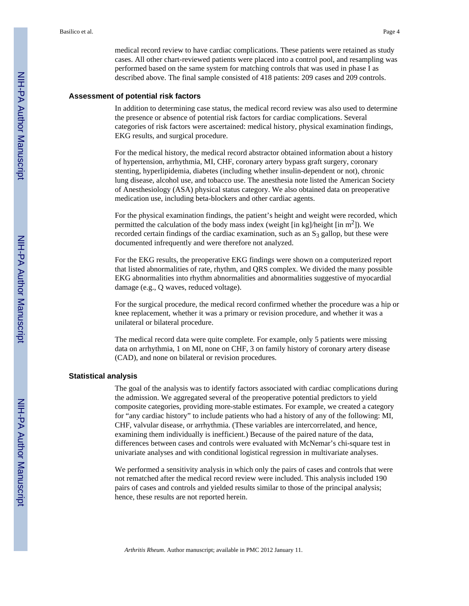medical record review to have cardiac complications. These patients were retained as study cases. All other chart-reviewed patients were placed into a control pool, and resampling was performed based on the same system for matching controls that was used in phase I as described above. The final sample consisted of 418 patients: 209 cases and 209 controls.

#### **Assessment of potential risk factors**

In addition to determining case status, the medical record review was also used to determine the presence or absence of potential risk factors for cardiac complications. Several categories of risk factors were ascertained: medical history, physical examination findings, EKG results, and surgical procedure.

For the medical history, the medical record abstractor obtained information about a history of hypertension, arrhythmia, MI, CHF, coronary artery bypass graft surgery, coronary stenting, hyperlipidemia, diabetes (including whether insulin-dependent or not), chronic lung disease, alcohol use, and tobacco use. The anesthesia note listed the American Society of Anesthesiology (ASA) physical status category. We also obtained data on preoperative medication use, including beta-blockers and other cardiac agents.

For the physical examination findings, the patient's height and weight were recorded, which permitted the calculation of the body mass index (weight [in kg]/height [in m<sup>2</sup> ]). We recorded certain findings of the cardiac examination, such as an  $S_3$  gallop, but these were documented infrequently and were therefore not analyzed.

For the EKG results, the preoperative EKG findings were shown on a computerized report that listed abnormalities of rate, rhythm, and QRS complex. We divided the many possible EKG abnormalities into rhythm abnormalities and abnormalities suggestive of myocardial damage (e.g., Q waves, reduced voltage).

For the surgical procedure, the medical record confirmed whether the procedure was a hip or knee replacement, whether it was a primary or revision procedure, and whether it was a unilateral or bilateral procedure.

The medical record data were quite complete. For example, only 5 patients were missing data on arrhythmia, 1 on MI, none on CHF, 3 on family history of coronary artery disease (CAD), and none on bilateral or revision procedures.

#### **Statistical analysis**

The goal of the analysis was to identify factors associated with cardiac complications during the admission. We aggregated several of the preoperative potential predictors to yield composite categories, providing more-stable estimates. For example, we created a category for "any cardiac history" to include patients who had a history of any of the following: MI, CHF, valvular disease, or arrhythmia. (These variables are intercorrelated, and hence, examining them individually is inefficient.) Because of the paired nature of the data, differences between cases and controls were evaluated with McNemar's chi-square test in univariate analyses and with conditional logistical regression in multivariate analyses.

We performed a sensitivity analysis in which only the pairs of cases and controls that were not rematched after the medical record review were included. This analysis included 190 pairs of cases and controls and yielded results similar to those of the principal analysis; hence, these results are not reported herein.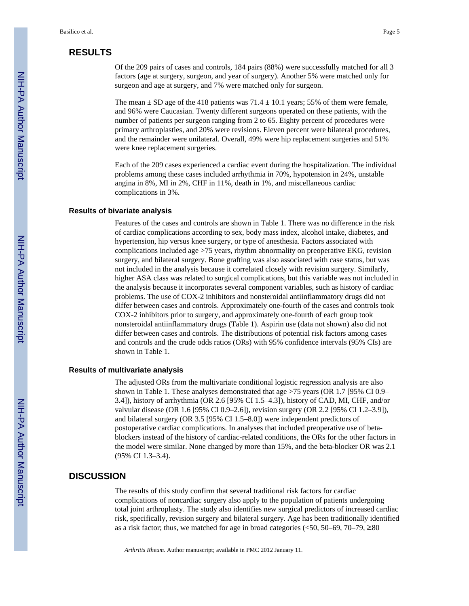# **RESULTS**

Of the 209 pairs of cases and controls, 184 pairs (88%) were successfully matched for all 3 factors (age at surgery, surgeon, and year of surgery). Another 5% were matched only for surgeon and age at surgery, and 7% were matched only for surgeon.

The mean  $\pm$  SD age of the 418 patients was 71.4  $\pm$  10.1 years; 55% of them were female, and 96% were Caucasian. Twenty different surgeons operated on these patients, with the number of patients per surgeon ranging from 2 to 65. Eighty percent of procedures were primary arthroplasties, and 20% were revisions. Eleven percent were bilateral procedures, and the remainder were unilateral. Overall, 49% were hip replacement surgeries and 51% were knee replacement surgeries.

Each of the 209 cases experienced a cardiac event during the hospitalization. The individual problems among these cases included arrhythmia in 70%, hypotension in 24%, unstable angina in 8%, MI in 2%, CHF in 11%, death in 1%, and miscellaneous cardiac complications in 3%.

#### **Results of bivariate analysis**

Features of the cases and controls are shown in Table 1. There was no difference in the risk of cardiac complications according to sex, body mass index, alcohol intake, diabetes, and hypertension, hip versus knee surgery, or type of anesthesia. Factors associated with complications included age >75 years, rhythm abnormality on preoperative EKG, revision surgery, and bilateral surgery. Bone grafting was also associated with case status, but was not included in the analysis because it correlated closely with revision surgery. Similarly, higher ASA class was related to surgical complications, but this variable was not included in the analysis because it incorporates several component variables, such as history of cardiac problems. The use of COX-2 inhibitors and nonsteroidal antiinflammatory drugs did not differ between cases and controls. Approximately one-fourth of the cases and controls took COX-2 inhibitors prior to surgery, and approximately one-fourth of each group took nonsteroidal antiinflammatory drugs (Table 1). Aspirin use (data not shown) also did not differ between cases and controls. The distributions of potential risk factors among cases and controls and the crude odds ratios (ORs) with 95% confidence intervals (95% CIs) are shown in Table 1.

#### **Results of multivariate analysis**

The adjusted ORs from the multivariate conditional logistic regression analysis are also shown in Table 1. These analyses demonstrated that age >75 years (OR 1.7 [95% CI 0.9– 3.4]), history of arrhythmia (OR 2.6 [95% CI 1.5–4.3]), history of CAD, MI, CHF, and/or valvular disease (OR 1.6 [95% CI 0.9–2.6]), revision surgery (OR 2.2 [95% CI 1.2–3.9]), and bilateral surgery (OR 3.5 [95% CI 1.5–8.0]) were independent predictors of postoperative cardiac complications. In analyses that included preoperative use of betablockers instead of the history of cardiac-related conditions, the ORs for the other factors in the model were similar. None changed by more than 15%, and the beta-blocker OR was 2.1 (95% CI 1.3–3.4).

#### **DISCUSSION**

The results of this study confirm that several traditional risk factors for cardiac complications of noncardiac surgery also apply to the population of patients undergoing total joint arthroplasty. The study also identifies new surgical predictors of increased cardiac risk, specifically, revision surgery and bilateral surgery. Age has been traditionally identified as a risk factor; thus, we matched for age in broad categories ( $\leq 50$ , 50–69, 70–79,  $\geq 80$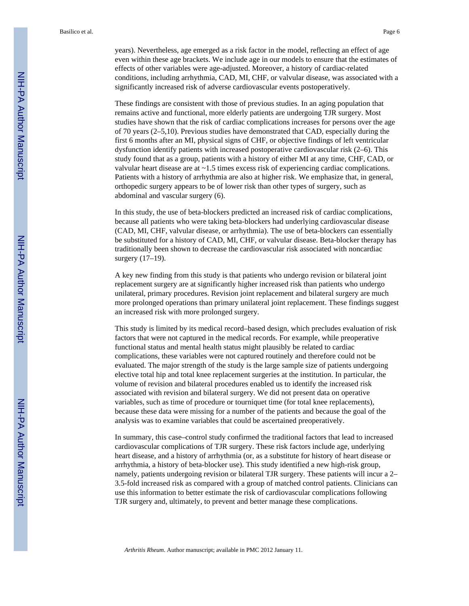years). Nevertheless, age emerged as a risk factor in the model, reflecting an effect of age even within these age brackets. We include age in our models to ensure that the estimates of effects of other variables were age-adjusted. Moreover, a history of cardiac-related conditions, including arrhythmia, CAD, MI, CHF, or valvular disease, was associated with a significantly increased risk of adverse cardiovascular events postoperatively.

These findings are consistent with those of previous studies. In an aging population that remains active and functional, more elderly patients are undergoing TJR surgery. Most studies have shown that the risk of cardiac complications increases for persons over the age of 70 years (2–5,10). Previous studies have demonstrated that CAD, especially during the first 6 months after an MI, physical signs of CHF, or objective findings of left ventricular dysfunction identify patients with increased postoperative cardiovascular risk (2–6). This study found that as a group, patients with a history of either MI at any time, CHF, CAD, or valvular heart disease are at ~1.5 times excess risk of experiencing cardiac complications. Patients with a history of arrhythmia are also at higher risk. We emphasize that, in general, orthopedic surgery appears to be of lower risk than other types of surgery, such as abdominal and vascular surgery (6).

In this study, the use of beta-blockers predicted an increased risk of cardiac complications, because all patients who were taking beta-blockers had underlying cardiovascular disease (CAD, MI, CHF, valvular disease, or arrhythmia). The use of beta-blockers can essentially be substituted for a history of CAD, MI, CHF, or valvular disease. Beta-blocker therapy has traditionally been shown to decrease the cardiovascular risk associated with noncardiac surgery (17–19).

A key new finding from this study is that patients who undergo revision or bilateral joint replacement surgery are at significantly higher increased risk than patients who undergo unilateral, primary procedures. Revision joint replacement and bilateral surgery are much more prolonged operations than primary unilateral joint replacement. These findings suggest an increased risk with more prolonged surgery.

This study is limited by its medical record–based design, which precludes evaluation of risk factors that were not captured in the medical records. For example, while preoperative functional status and mental health status might plausibly be related to cardiac complications, these variables were not captured routinely and therefore could not be evaluated. The major strength of the study is the large sample size of patients undergoing elective total hip and total knee replacement surgeries at the institution. In particular, the volume of revision and bilateral procedures enabled us to identify the increased risk associated with revision and bilateral surgery. We did not present data on operative variables, such as time of procedure or tourniquet time (for total knee replacements), because these data were missing for a number of the patients and because the goal of the analysis was to examine variables that could be ascertained preoperatively.

In summary, this case–control study confirmed the traditional factors that lead to increased cardiovascular complications of TJR surgery. These risk factors include age, underlying heart disease, and a history of arrhythmia (or, as a substitute for history of heart disease or arrhythmia, a history of beta-blocker use). This study identified a new high-risk group, namely, patients undergoing revision or bilateral TJR surgery. These patients will incur a 2– 3.5-fold increased risk as compared with a group of matched control patients. Clinicians can use this information to better estimate the risk of cardiovascular complications following TJR surgery and, ultimately, to prevent and better manage these complications.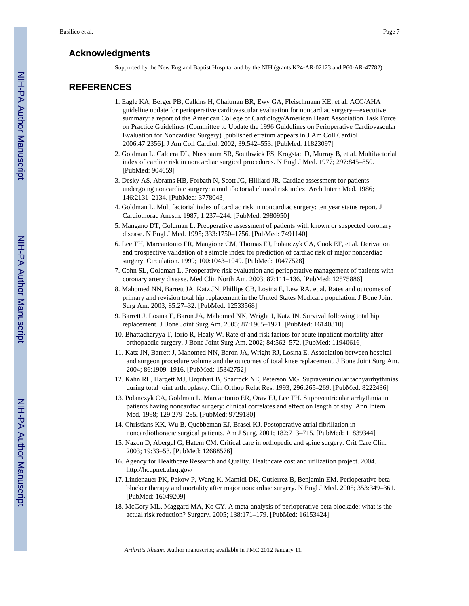#### **Acknowledgments**

Supported by the New England Baptist Hospital and by the NIH (grants K24-AR-02123 and P60-AR-47782).

### **REFERENCES**

- 1. Eagle KA, Berger PB, Calkins H, Chaitman BR, Ewy GA, Fleischmann KE, et al. ACC/AHA guideline update for perioperative cardiovascular evaluation for noncardiac surgery—executive summary: a report of the American College of Cardiology/American Heart Association Task Force on Practice Guidelines (Committee to Update the 1996 Guidelines on Perioperative Cardiovascular Evaluation for Noncardiac Surgery) [published erratum appears in J Am Coll Cardiol 2006;47:2356]. J Am Coll Cardiol. 2002; 39:542–553. [PubMed: 11823097]
- 2. Goldman L, Caldera DL, Nussbaum SR, Southwick FS, Krogstad D, Murray B, et al. Multifactorial index of cardiac risk in noncardiac surgical procedures. N Engl J Med. 1977; 297:845–850. [PubMed: 904659]
- 3. Desky AS, Abrams HB, Forbath N, Scott JG, Hilliard JR. Cardiac assessment for patients undergoing noncardiac surgery: a multifactorial clinical risk index. Arch Intern Med. 1986; 146:2131–2134. [PubMed: 3778043]
- 4. Goldman L. Multifactorial index of cardiac risk in noncardiac surgery: ten year status report. J Cardiothorac Anesth. 1987; 1:237–244. [PubMed: 2980950]
- 5. Mangano DT, Goldman L. Preoperative assessment of patients with known or suspected coronary disease. N Engl J Med. 1995; 333:1750–1756. [PubMed: 7491140]
- 6. Lee TH, Marcantonio ER, Mangione CM, Thomas EJ, Polanczyk CA, Cook EF, et al. Derivation and prospective validation of a simple index for prediction of cardiac risk of major noncardiac surgery. Circulation. 1999; 100:1043–1049. [PubMed: 10477528]
- 7. Cohn SL, Goldman L. Preoperative risk evaluation and perioperative management of patients with coronary artery disease. Med Clin North Am. 2003; 87:111–136. [PubMed: 12575886]
- 8. Mahomed NN, Barrett JA, Katz JN, Phillips CB, Losina E, Lew RA, et al. Rates and outcomes of primary and revision total hip replacement in the United States Medicare population. J Bone Joint Surg Am. 2003; 85:27–32. [PubMed: 12533568]
- 9. Barrett J, Losina E, Baron JA, Mahomed NN, Wright J, Katz JN. Survival following total hip replacement. J Bone Joint Surg Am. 2005; 87:1965–1971. [PubMed: 16140810]
- 10. Bhattacharyya T, Iorio R, Healy W. Rate of and risk factors for acute inpatient mortality after orthopaedic surgery. J Bone Joint Surg Am. 2002; 84:562–572. [PubMed: 11940616]
- 11. Katz JN, Barrett J, Mahomed NN, Baron JA, Wright RJ, Losina E. Association between hospital and surgeon procedure volume and the outcomes of total knee replacement. J Bone Joint Surg Am. 2004; 86:1909–1916. [PubMed: 15342752]
- 12. Kahn RL, Hargett MJ, Urquhart B, Sharrock NE, Peterson MG. Supraventricular tachyarrhythmias during total joint arthroplasty. Clin Orthop Relat Res. 1993; 296:265–269. [PubMed: 8222436]
- 13. Polanczyk CA, Goldman L, Marcantonio ER, Orav EJ, Lee TH. Supraventricular arrhythmia in patients having noncardiac surgery: clinical correlates and effect on length of stay. Ann Intern Med. 1998; 129:279–285. [PubMed: 9729180]
- 14. Christians KK, Wu B, Quebbeman EJ, Brasel KJ. Postoperative atrial fibrillation in noncardiothoracic surgical patients. Am J Surg. 2001; 182:713–715. [PubMed: 11839344]
- 15. Nazon D, Abergel G, Hatem CM. Critical care in orthopedic and spine surgery. Crit Care Clin. 2003; 19:33–53. [PubMed: 12688576]
- 16. Agency for Healthcare Research and Quality. Healthcare cost and utilization project. 2004. <http://hcupnet.ahrq.gov/>
- 17. Lindenauer PK, Pekow P, Wang K, Mamidi DK, Gutierrez B, Benjamin EM. Perioperative betablocker therapy and mortality after major noncardiac surgery. N Engl J Med. 2005; 353:349–361. [PubMed: 16049209]
- 18. McGory ML, Maggard MA, Ko CY. A meta-analysis of perioperative beta blockade: what is the actual risk reduction? Surgery. 2005; 138:171–179. [PubMed: 16153424]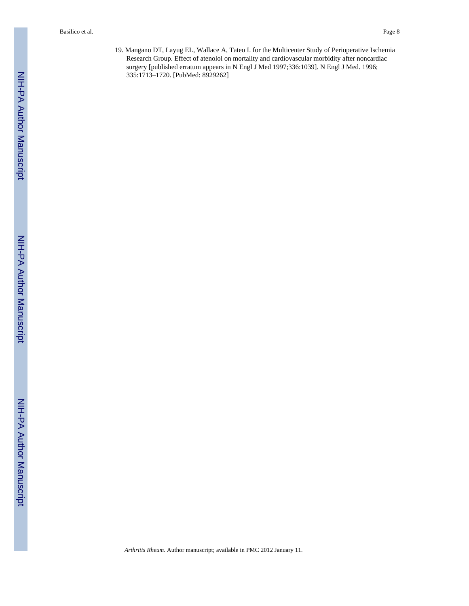19. Mangano DT, Layug EL, Wallace A, Tateo I. for the Multicenter Study of Perioperative Ischemia Research Group. Effect of atenolol on mortality and cardiovascular morbidity after noncardiac surgery [published erratum appears in N Engl J Med 1997;336:1039]. N Engl J Med. 1996; 335:1713–1720. [PubMed: 8929262]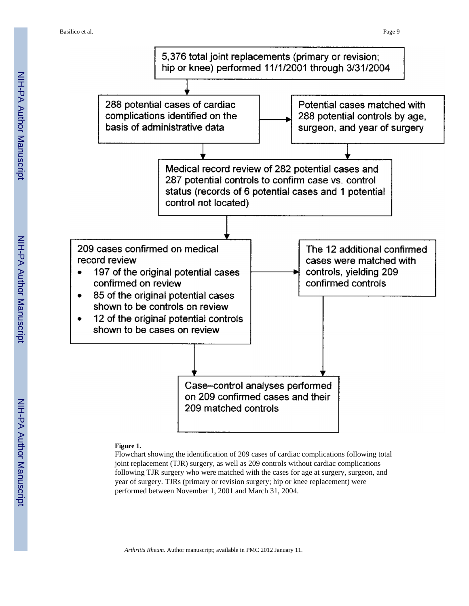Basilico et al. Page 9



#### **Figure 1.**

Flowchart showing the identification of 209 cases of cardiac complications following total joint replacement (TJR) surgery, as well as 209 controls without cardiac complications following TJR surgery who were matched with the cases for age at surgery, surgeon, and year of surgery. TJRs (primary or revision surgery; hip or knee replacement) were performed between November 1, 2001 and March 31, 2004.